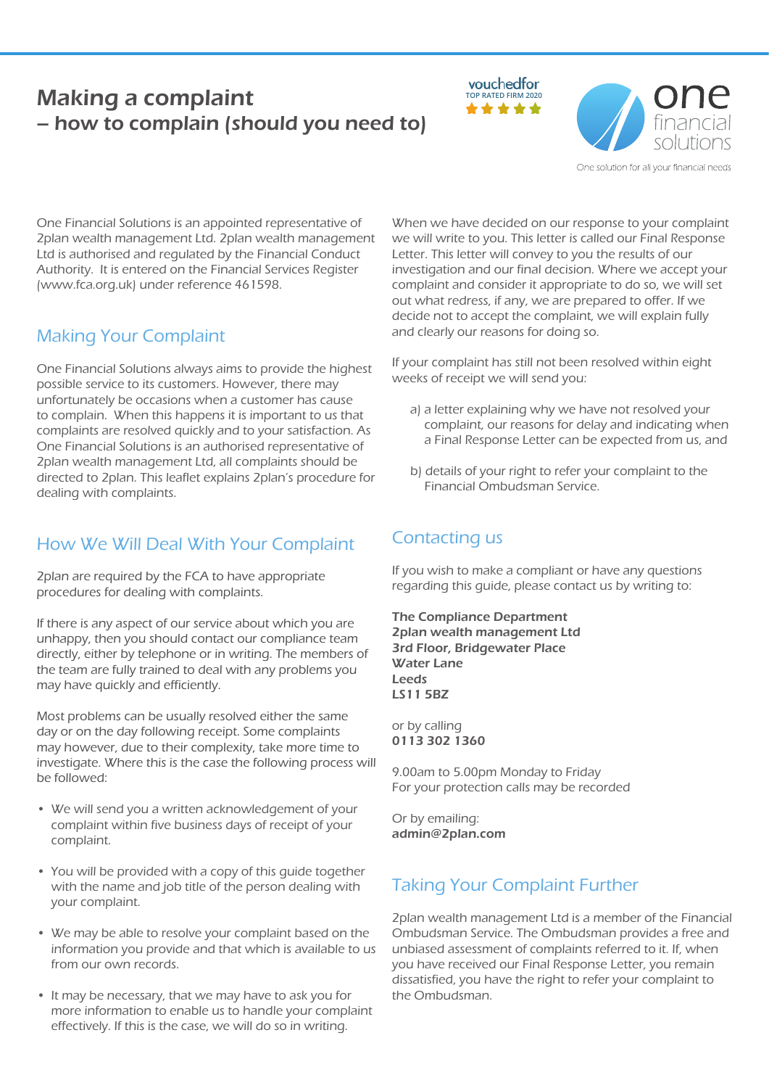# **Making a complaint Making a complaint** – how to complain (should you need to)





One solution for all your financial needs

One Financial Solutions is an appointed representative of 2plan wealth management Ltd. 2plan wealth management Ltd is authorised and regulated by the Financial Conduct Authority. It is entered on the Financial Services Register (www.fca.org.uk) under reference 461598.

#### Making Your Complaint

One Financial Solutions always aims to provide the highest possible service to its customers. However, there may unfortunately be occasions when a customer has cause to complain. When this happens it is important to us that complaints are resolved quickly and to your satisfaction. As One Financial Solutions is an authorised representative of 2plan wealth management Ltd, all complaints should be directed to 2plan. This leaflet explains 2plan's procedure for dealing with complaints.

## How We Will Deal With Your Complaint

2plan are required by the FCA to have appropriate procedures for dealing with complaints.

If there is any aspect of our service about which you are unhappy, then you should contact our compliance team directly, either by telephone or in writing. The members of the team are fully trained to deal with any problems you may have quickly and efficiently.

Most problems can be usually resolved either the same day or on the day following receipt. Some complaints may however, due to their complexity, take more time to investigate. Where this is the case the following process will be followed:

- We will send you a written acknowledgement of your complaint within five business days of receipt of your complaint.
- You will be provided with a copy of this guide together with the name and job title of the person dealing with your complaint.
- We may be able to resolve your complaint based on the information you provide and that which is available to us from our own records.
- It may be necessary, that we may have to ask you for more information to enable us to handle your complaint effectively. If this is the case, we will do so in writing.

When we have decided on our response to your complaint we will write to you. This letter is called our Final Response Letter. This letter will convey to you the results of our investigation and our final decision. Where we accept your complaint and consider it appropriate to do so, we will set out what redress, if any, we are prepared to offer. If we decide not to accept the complaint, we will explain fully and clearly our reasons for doing so.

If your complaint has still not been resolved within eight weeks of receipt we will send you:

- a) a letter explaining why we have not resolved your complaint, our reasons for delay and indicating when a Final Response Letter can be expected from us, and
- b) details of your right to refer your complaint to the Financial Ombudsman Service.

## Contacting us

If you wish to make a compliant or have any questions regarding this guide, please contact us by writing to:

The Compliance Department 2plan wealth management Ltd 3rd Floor, Bridgewater Place Water Lane Leeds LS11 5BZ

or by calling 0113 302 1360

9.00am to 5.00pm Monday to Friday For your protection calls may be recorded

Or by emailing: admin@2plan.com

## Taking Your Complaint Further

2plan wealth management Ltd is a member of the Financial Ombudsman Service. The Ombudsman provides a free and unbiased assessment of complaints referred to it. If, when you have received our Final Response Letter, you remain dissatisfied, you have the right to refer your complaint to the Ombudsman.